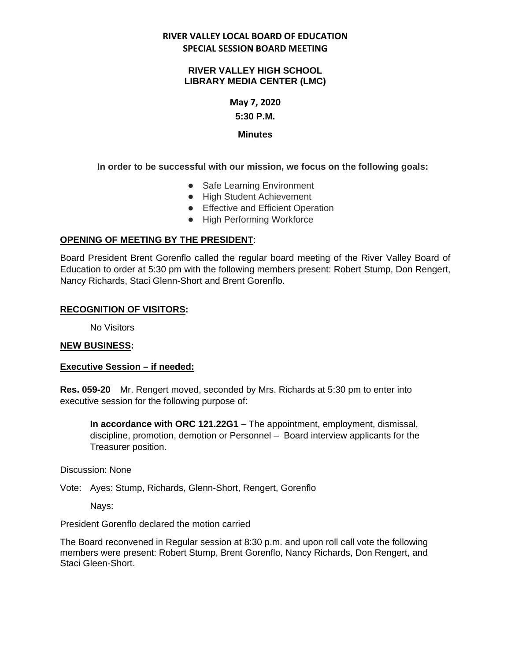## **RIVER VALLEY LOCAL BOARD OF EDUCATION SPECIAL SESSION BOARD MEETING**

#### **RIVER VALLEY HIGH SCHOOL LIBRARY MEDIA CENTER (LMC)**

### **May 7, 2020 5:30 P.M.**

## **Minutes**

## **In order to be successful with our mission, we focus on the following goals:**

- Safe Learning Environment
- High Student Achievement
- Effective and Efficient Operation
- High Performing Workforce

## **OPENING OF MEETING BY THE PRESIDENT**:

Board President Brent Gorenflo called the regular board meeting of the River Valley Board of Education to order at 5:30 pm with the following members present: Robert Stump, Don Rengert, Nancy Richards, Staci Glenn-Short and Brent Gorenflo.

### **RECOGNITION OF VISITORS:**

No Visitors

## **NEW BUSINESS:**

## **Executive Session – if needed:**

**Res. 059-20**  Mr. Rengert moved, seconded by Mrs. Richards at 5:30 pm to enter into executive session for the following purpose of:

**In accordance with ORC 121.22G1** – The appointment, employment, dismissal, discipline, promotion, demotion or Personnel – Board interview applicants for the Treasurer position.

Discussion: None

Vote: Ayes: Stump, Richards, Glenn-Short, Rengert, Gorenflo

Nays:

President Gorenflo declared the motion carried

The Board reconvened in Regular session at 8:30 p.m. and upon roll call vote the following members were present: Robert Stump, Brent Gorenflo, Nancy Richards, Don Rengert, and Staci Gleen-Short.